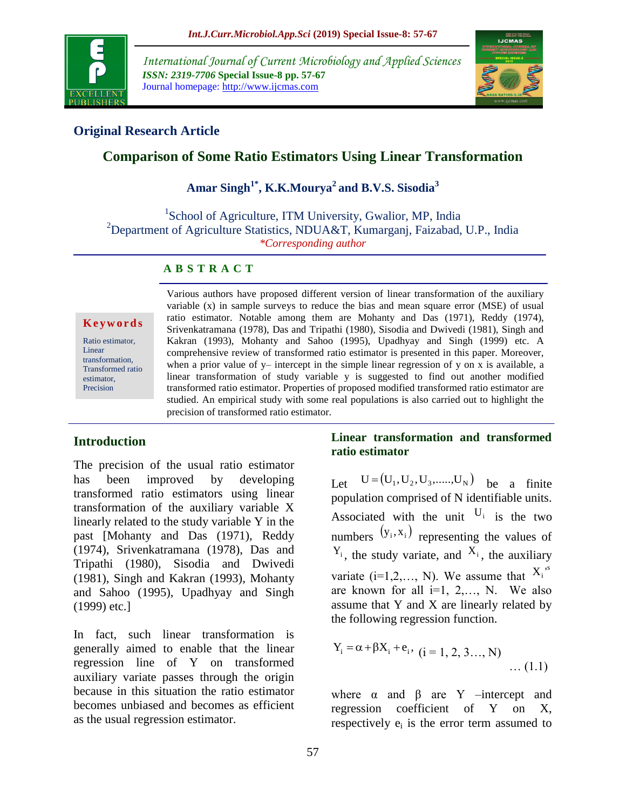

*International Journal of Current Microbiology and Applied Sciences ISSN: 2319-7706* **Special Issue-8 pp. 57-67** Journal homepage: http://www.ijcmas.com



# **Original Research Article**

# **Comparison of Some Ratio Estimators Using Linear Transformation**

**Amar Singh1\* , K.K.Mourya<sup>2</sup>and B.V.S. Sisodia<sup>3</sup>**

<sup>1</sup>School of Agriculture, ITM University, Gwalior, MP, India <sup>2</sup>Department of Agriculture Statistics, NDUA&T, Kumarganj, Faizabad, U.P., India *\*Corresponding author*

#### **A B S T R A C T**

#### **K e y w o r d s**

Ratio estimator, Linear transformation, Transformed ratio estimator, Precision

Various authors have proposed different version of linear transformation of the auxiliary variable (x) in sample surveys to reduce the bias and mean square error (MSE) of usual ratio estimator. Notable among them are Mohanty and Das (1971), Reddy (1974), Srivenkatramana (1978), Das and Tripathi (1980), Sisodia and Dwivedi (1981), Singh and Kakran (1993), Mohanty and Sahoo (1995), Upadhyay and Singh (1999) etc. A comprehensive review of transformed ratio estimator is presented in this paper. Moreover, when a prior value of  $y$ – intercept in the simple linear regression of y on x is available, a linear transformation of study variable y is suggested to find out another modified transformed ratio estimator. Properties of proposed modified transformed ratio estimator are studied. An empirical study with some real populations is also carried out to highlight the precision of transformed ratio estimator.

## **Introduction**

The precision of the usual ratio estimator has been improved by developing transformed ratio estimators using linear transformation of the auxiliary variable X linearly related to the study variable Y in the past [Mohanty and Das (1971), Reddy (1974), Srivenkatramana (1978), Das and Tripathi (1980), Sisodia and Dwivedi (1981), Singh and Kakran (1993), Mohanty and Sahoo (1995), Upadhyay and Singh (1999) etc.]

In fact, such linear transformation is generally aimed to enable that the linear regression line of Y on transformed auxiliary variate passes through the origin because in this situation the ratio estimator becomes unbiased and becomes as efficient as the usual regression estimator.

## **Linear transformation and transformed ratio estimator**

Let  $U = (U_1, U_2, U_3, \dots, U_N)$  be a finite population comprised of N identifiable units. Associated with the unit  $U_i$  is the two numbers  $(y_i, x_i)$  representing the values of  $Y_i$ , the study variate, and  $X_i$ , the auxiliary variate (i=1,2,..., N). We assume that  $X_i$ <sup>s</sup> are known for all  $i=1, 2,..., N$ . We also assume that Y and X are linearly related by the following regression function.

$$
Y_i = \alpha + \beta X_i + e_i, \quad (i = 1, 2, 3..., N)
$$
 ... (1.1)

where  $\alpha$  and  $\beta$  are Y –intercept and regression coefficient of Y on X, respectively  $e_i$  is the error term assumed to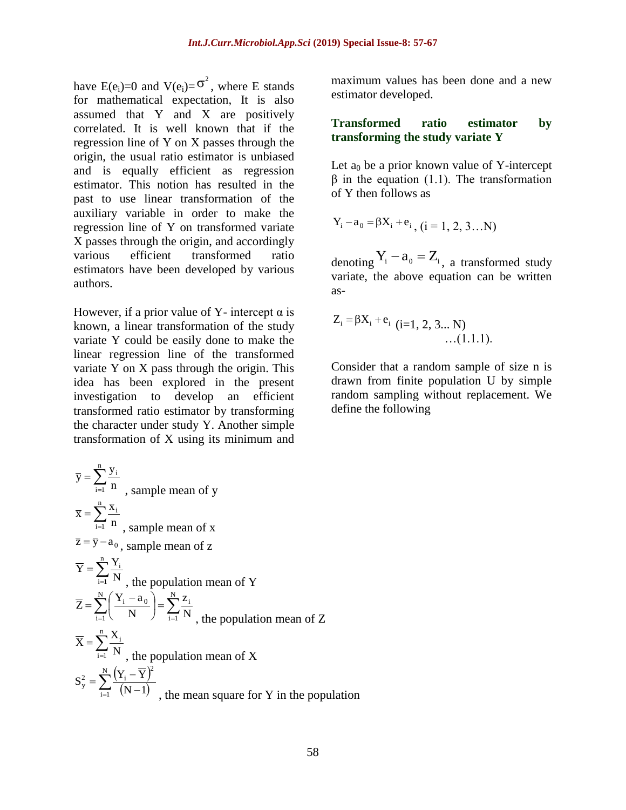have E(e<sub>i</sub>)=0 and V(e<sub>i</sub>)= $\sigma^2$ , where E stands for mathematical expectation, It is also assumed that Y and X are positively correlated. It is well known that if the regression line of Y on X passes through the origin, the usual ratio estimator is unbiased and is equally efficient as regression estimator. This notion has resulted in the past to use linear transformation of the auxiliary variable in order to make the regression line of Y on transformed variate X passes through the origin, and accordingly various efficient transformed ratio estimators have been developed by various authors.

However, if a prior value of Y- intercept  $\alpha$  is known, a linear transformation of the study variate Y could be easily done to make the linear regression line of the transformed variate Y on X pass through the origin. This idea has been explored in the present investigation to develop an efficient transformed ratio estimator by transforming the character under study Y. Another simple transformation of X using its minimum and

 $=\sum_{i=1}^{n}$ n  $i = 1$ i n  $\overline{y} = \sum_{n=1}^{n} \frac{y}{n}$ , sample mean of y  $=\sum_{i=1}^{n}$ n  $i = 1$ i n  $\overline{x} = \sum_{n=1}^{n} \frac{x}{n}$ , sample mean of x  $\bar{z} = \bar{y} - a_0$ , sample mean of z  $=\sum_{i=1}^n$  $i = 1$ i N  $\overline{Y} = \sum_{i=1}^{n} \frac{Y_i}{Y_i}$ , the population mean of Y  $\sum_{i=1}^{N} \left( \frac{Y_i - a_0}{N} \right) = \sum_{i=1}^{N}$ J  $\left(\frac{Y_i - a_0}{Y_i}\right)$  $\setminus$  $=\sum_{i=1}^{N}\left(\frac{Y_i-1}{Y_i}\right)$  $N(V \cap N)$  $i = 1$ i  $i = 1$  $i - a_0$ N z N  $\overline{Z} = \sum_{i=1}^{N} \left( \frac{Y_i - a_i}{Y_i} \right)$ , the population mean of Z  $=\sum_{i=1}$ n  $i = 1$ i N  $\overline{X} = \sum_{n=1}^{n} \frac{X}{n!}$ , the population mean of X  $= \sum_{i=1}^N \frac{(Y_i - \overline{Y})^2}{(N-1)}$ N  $(\mathbf{v} \quad \nabla)^2$  $i = 1$  $y^2 = \sum_{i=1}^{\infty} \frac{(1 - 1)^i}{(N - 1)^i}$  $S_v^2 = \sum_{i=1}^{N} \frac{(Y_i - \overline{Y})}{\sqrt{Y_i - \overline{Y}}}$ , the mean square for Y in the population

maximum values has been done and a new estimator developed.

## **Transformed ratio estimator by transforming the study variate Y**

Let  $a_0$  be a prior known value of Y-intercept  $β$  in the equation (1.1). The transformation of Y then follows as

$$
Y_i - a_0 = \beta X_i + e_i, (i = 1, 2, 3...N)
$$

denoting  $Y_i - a_0 = Z_i$ , a transformed study variate, the above equation can be written as-

$$
Z_i = \beta X_i + e_i \quad (i=1, 2, 3... N) \quad ...(1.1.1).
$$

Consider that a random sample of size n is drawn from finite population U by simple random sampling without replacement. We define the following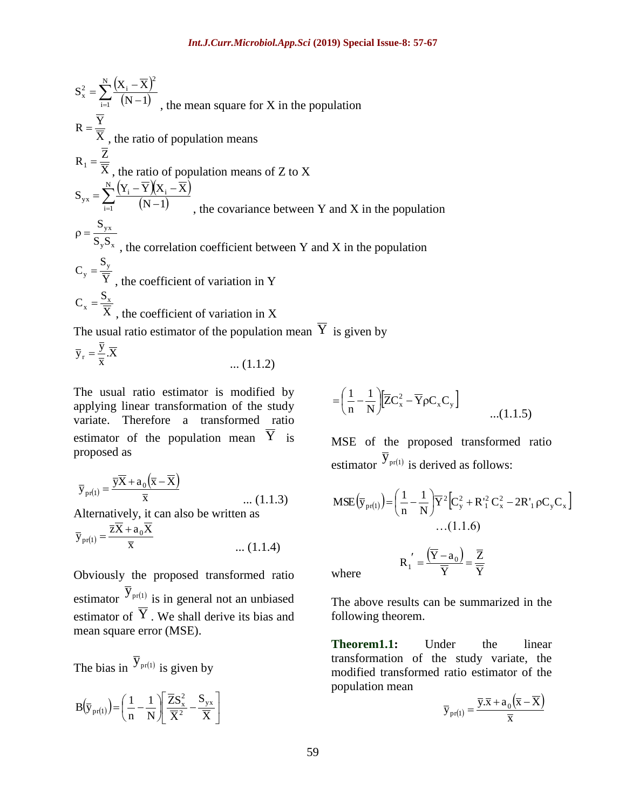$$
S_x^2 = \sum_{i=1}^{N} \frac{(X_i - \overline{X})^2}{(N-1)} ,
$$
 the mean square for X in the population  
\n
$$
R = \frac{\overline{Y}}{\overline{X}} ,
$$
 the ratio of population means  
\n
$$
R_1 = \frac{\overline{Z}}{\overline{X}} ,
$$
 the ratio of population means of Z to X  
\n
$$
S_{yx} = \sum_{i=1}^{N} \frac{(Y_i - \overline{Y})(X_i - \overline{X})}{(N-1)} ,
$$
 the covariance between Y and X in the population  
\n
$$
\rho = \frac{S_{yx}}{S_y s_x} ,
$$
 the coefficient of variation in Y  
\n
$$
C_x = \frac{S_x}{\overline{X}} ,
$$
 the coefficient of variation in X  
\nThe usual ratio estimator of the population mean  $\overline{Y}$  is given by  
\n
$$
\overline{y}_r = \frac{\overline{y}}{\overline{X}} .\overline{X}
$$
 ... (1.1.2)  
\nThe usual ratio estimator is modified by  
\n
$$
\overline{y}_r = \frac{\overline{y}}{\overline{X}} .\overline{X}
$$
 ... (1.1.2)  
\nThe usual ratio estimator is modified by  
\n
$$
\overline{y}_r = \frac{1}{\overline{X}} .\overline{X}
$$
 ... (1.1.2)  
\n
$$
P = \sum_{i=1}^{N} \frac{1}{X} \sum_{i=1}^{N} \frac{1}{X} .
$$
 (1.1.2)  
\n
$$
P = \sum_{i=1}^{N} \frac{1}{X} \sum_{i=1}^{N} \frac{1}{X} .
$$
 (1.1.3)  
\n
$$
\overline{y}_{p(1)} = \frac{\overline{y}\overline{X} + a_0(\overline{x} - \overline{X})}{\overline{x}}
$$
 ... (1.1.3)  
\nAlternatively, it can also be written as  
\n
$$
\overline{y}_{p(1)} = \frac{\overline{y}\overline{X} + a_0(\overline{x} - \overline{X})}{\overline{x}}
$$
 ... (1.1.4)  
\nObviously the proposed transformed ratio where  
\nestimator  $\overline{Y}_{p(r(1)}$  is in general not an unbiased  
\nestimator of Y. We shall derive its bias and following theorem.  
\nThe bias in  $\overline{Y}_{p(r(1)}$  is given by

$$
\overline{y}_r = \frac{\overline{y}}{\overline{x}} . \overline{X}
$$
 ... (1.1.2)

The usual ratio estimator is modified by applying linear transformation of the study variate. Therefore a transformed ratio estimator of the population mean  $\overline{Y}$  is proposed as

$$
\overline{y}_{\text{pr}(1)} = \frac{\overline{y}\overline{X} + a_0(\overline{x} - \overline{X})}{\overline{x}}
$$
 ... (1.1.3)

Alternatively, it can also be written as

$$
\overline{y}_{\text{pr}(1)} = \frac{\overline{zX} + a_0 \overline{X}}{\overline{x}}
$$
 ... (1.1.4)

Obviously the proposed transformed ratio estimator  $\overline{y}_{pr(1)}$  is in general not an unbiased estimator of  $\overline{Y}$ . We shall derive its bias and mean square error (MSE).

The bias in 
$$
\overline{y}_{pr(1)}
$$
 is given by

$$
B\!\left(\overline{\boldsymbol{y}}_{pr(1)}\right)\!=\!\left(\frac{1}{n}\!-\!\frac{1}{N}\!\right)\!\!\left[\frac{\overline{Z}\boldsymbol{S}_{x}^{2}}{\overline{X}^{2}}\!-\!\frac{\boldsymbol{S}_{yx}}{\overline{X}}\right]
$$

$$
= \left(\frac{1}{n} - \frac{1}{N}\right) \left[\overline{Z}C_x^2 - \overline{Y}\rho C_x C_y\right]
$$
...(1.1.5)

MSE of the proposed transformed ratio estimator  $\overline{y}_{pr(1)}$  is derived as follows:

$$
\text{MSE}\left(\overline{\mathbf{y}}_{\text{pr}(1)}\right) = \left(\frac{1}{n} - \frac{1}{N}\right)\overline{Y}^{2}\left[\mathbf{C}_{y}^{2} + \mathbf{R}_{1}^{2}\mathbf{C}_{x}^{2} - 2\mathbf{R}_{1}^{2}\mathbf{p}\mathbf{C}_{y}\mathbf{C}_{x}\right]
$$
  
...(1.1.6)  

$$
\mathbf{R}_{1}^{'} = \frac{\left(\overline{Y} - \mathbf{a}_{0}\right)}{\overline{Y}} = \frac{\overline{Z}}{\overline{Y}}
$$
where

where

The above results can be summarized in the following theorem.

**Theorem1.1:** Under the linear transformation of the study variate, the modified transformed ratio estimator of the population mean  $\mathcal{L}$  $\sim$ 

$$
\overline{\mathbf{y}}_{\text{pr}(1)} = \frac{\overline{\mathbf{y}}.\overline{\mathbf{x}} + a_0(\overline{\mathbf{x}} - \overline{\mathbf{X}})}{\overline{\mathbf{x}}}
$$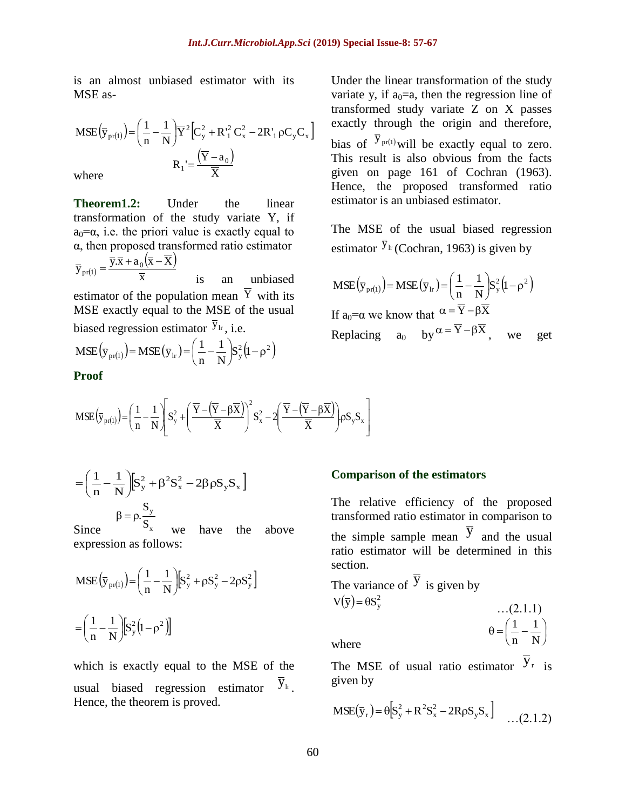is an almost unbiased estimator with its MSE as-

$$
\text{MSE}\left(\overline{\mathbf{y}}_{\text{pr}(1)}\right) = \left(\frac{1}{n} - \frac{1}{N}\right)\overline{Y}^{2}\left[\mathbf{C}_{\mathbf{y}}^{2} + \mathbf{R}_{1}^{2}\mathbf{C}_{\mathbf{x}}^{2} - 2\mathbf{R}_{1}^{2}\rho\mathbf{C}_{\mathbf{y}}\mathbf{C}_{\mathbf{x}}\right]
$$
\n
$$
\mathbf{R}_{1} = \frac{\left(\overline{Y} - \mathbf{a}_{0}\right)}{\overline{X}}
$$
\nwhere

**Theorem1.2:** Under the linear transformation of the study variate Y, if  $a_0 = \alpha$ , i.e. the priori value is exactly equal to α, then proposed transformed ratio estimator  $\left(1\right)$  $(\overline{x}-\overline{X})$ x  $\overline{y}_{pr(1)} = \frac{\overline{y}.\overline{x} + a_0(\overline{x} - X)}{\overline{x}}$  $=\frac{\overline{y}.\overline{x}+a_0(\overline{x}-\overline{x})}{\overline{x}}$ is an unbiased estimator of the population mean  $Y$  with its MSE exactly equal to the MSE of the usual biased regression estimator  $\bar{y}_{lr}$ , i.e. 1

$$
\mathbf{MSE}\left(\overline{\mathbf{y}}_{\text{pr}(1)}\right) = \mathbf{MSE}\left(\overline{\mathbf{y}}_{\text{lr}}\right) = \left(\frac{1}{n} - \frac{1}{N}\right)S_y^2\left(1 - \rho^2\right)
$$

**Proof** 

Under the linear transformation of the study variate y, if  $a_0=a$ , then the regression line of transformed study variate Z on X passes exactly through the origin and therefore, bias of  $\overline{y}_{pr(1)}$  will be exactly equal to zero. This result is also obvious from the facts given on page 161 of Cochran (1963). Hence, the proposed transformed ratio estimator is an unbiased estimator.

The MSE of the usual biased regression estimator  $\overline{y}_{\text{lr}}$  (Cochran, 1963) is given by

$$
\text{MSE}(\overline{\mathbf{y}}_{\text{pr}(1)}) = \text{MSE}(\overline{\mathbf{y}}_{\text{lr}}) = \left(\frac{1}{n} - \frac{1}{N}\right) \mathbf{S}_{\text{y}}^{2} (1 - \rho^{2})
$$
\n
$$
\text{If } \mathbf{a}_{0} = \alpha \text{ we know that } \frac{\alpha = \overline{\mathbf{Y}} - \beta \overline{\mathbf{X}}}{\mathbf{R} \text{eplacing}} \quad \text{a}_{0} \quad \text{by } \frac{\alpha = \overline{\mathbf{Y}} - \beta \overline{\mathbf{X}}}{\mathbf{X}}, \quad \text{we} \quad \text{get}
$$

$$
MSE\left(\overline{y}_{pr(1)}\right) = \left(\frac{1}{n} - \frac{1}{N}\right) \left[ S_y^2 + \left(\frac{\overline{Y} - \left(\overline{Y} - \beta \overline{X}\right)}{\overline{X}}\right)^2 S_x^2 - 2\left(\frac{\overline{Y} - \left(\overline{Y} - \beta \overline{X}\right)}{\overline{X}}\right) \rho S_y S_x \right]
$$

$$
= \left(\frac{1}{n} - \frac{1}{N}\right) \left[ S_y^2 + \beta^2 S_x^2 - 2\beta \rho S_y S_x \right]
$$

$$
\beta = \rho \cdot \frac{S_y}{S}
$$

Since  $S_{x}$ we have the above expression as follows:

$$
MSE(\overline{y}_{pr(1)}) = \left(\frac{1}{n} - \frac{1}{N}\right) \left[ S_y^2 + \rho S_y^2 - 2\rho S_y^2 \right]
$$

$$
= \left(\frac{1}{n} - \frac{1}{N}\right) \left[ S_y^2 \left(1 - \rho^2\right) \right]
$$

which is exactly equal to the MSE of the usual biased regression estimator  $\overline{y}_{\rm lr}$  . Hence, the theorem is proved.

#### **Comparison of the estimators**

The relative efficiency of the proposed transformed ratio estimator in comparison to the simple sample mean  $\overline{y}$  and the usual ratio estimator will be determined in this section.

The variance of 
$$
\overline{y}
$$
 is given by  
\n
$$
V(\overline{y}) = \theta S_y^2
$$
\n...(2.1.1)  
\n
$$
\theta = \left(\frac{1}{1} - \frac{1}{2}\right)
$$

where

The MSE of usual ratio estimator  $\overline{y}_r$  is given by

 $\overline{\phantom{a}}$ J

N 1

 $\left(\frac{1}{1-\frac{1}{N}}\right)$ 

l

n 1

$$
MSE(\bar{y}_r) = \theta \Big[ S_y^2 + R^2 S_x^2 - 2R\rho S_y S_x \Big] \quad ...(2.1.2)
$$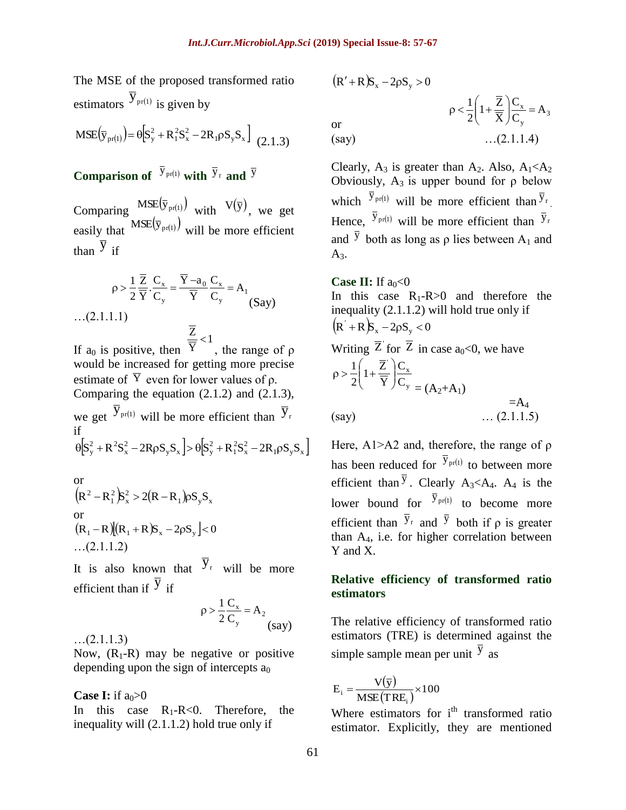The MSE of the proposed transformed ratio estimators  $\overline{y}_{pr(1)}$  is given by

$$
MSE(\bar{y}_{pr(1)}) = \theta \Big[ S_y^2 + R_1^2 S_x^2 - 2R_1 \rho S_y S_x \Big]_{(2.1.3)}
$$

**Comparison of**  $\overline{y}_{pr(1)}$  with  $\overline{y}_r$  and  $\overline{y}$ 

Comparing  $MSE(\bar{y}_{pr(1)})$  with  $V(\bar{y})$ , we get easily that  $MSE(\bar{y}_{pr(1)})$  will be more efficient than  $\overline{y}$  if

$$
\rho > \frac{1}{2} \frac{\overline{Z}}{\overline{Y}} \cdot \frac{C_x}{C_y} = \frac{\overline{Y} - a_0}{\overline{Y}} \frac{C_x}{C_y} = A_1
$$
\n...(2.1.1.1)\n
$$
\frac{\overline{Z}}{\overline{Y}} < 1
$$

If  $a_0$  is positive, then Y , the range of ρ would be increased for getting more precise estimate of  $\overline{Y}$  even for lower values of  $\rho$ . Comparing the equation (2.1.2) and (2.1.3), we get  $\overline{y}_{pr(1)}$  will be more efficient than  $\overline{y}_r$ if  $\theta$  $S_y^2 + R^2S_x^2 - 2R\rho S_yS_x$   $\ge \theta$  $S_y^2 + R_1^2S_x^2 - 2R_1\rho S_yS_x$ 

or  
\n
$$
(R^2 - R_1^2)S_x^2 > 2(R - R_1)\rho S_y S_x
$$
  
\nor  
\n $(R_1 - R)[(R_1 + R)S_x - 2\rho S_y] < 0$   
\n...(2.1.1.2)

It is also known that  $\bar{y}_r$  will be more efficient than if  $\overline{y}$  if

$$
\rho > \frac{1}{2} \frac{C_x}{C_y} = A_2 \text{ (say)}
$$

…(2.1.1.3)

Now,  $(R_1-R)$  may be negative or positive depending upon the sign of intercepts  $a_0$ 

**Case I:** if  $a_0>0$ 

In this case  $R_1-R<0$ . Therefore, the inequality will (2.1.1.2) hold true only if

$$
(R' + R)S_x - 2\rho S_y > 0
$$
  
or  
(say)  

$$
\rho < \frac{1}{2} \left( 1 + \frac{\overline{Z}}{\overline{X}} \right) \frac{C_x}{C_y} = A_3
$$
  
...(2.1.1.4)

Clearly,  $A_3$  is greater than  $A_2$ . Also,  $A_1 < A_2$ Obviously,  $A_3$  is upper bound for  $\rho$  below which  $\bar{y}_{pr(1)}$  will be more efficient than  $\bar{y}_r$ . Hence,  $\bar{y}_{pr(1)}$  will be more efficient than  $\bar{y}_r$ and  $\overline{y}$  both as long as  $\rho$  lies between A<sub>1</sub> and  $A_3$ .

#### **Case II:** If  $a_0 < 0$

In this case  $R_1-R>0$  and therefore the inequality (2.1.1.2) will hold true only if  $(R' + R)S_x - 2\rho S_y < 0$ Writing  $\overline{Z}$  for  $\overline{Z}$  in case  $a_0<0$ , we have y  $\bigcap_{x} C_{x}$ C  $\mathcal{C}_{0}^{(n)}$  $\overline{Y}$  $1+\frac{\overline{Z}}{\overline{Z}}$ 2 1  $\overline{\phantom{a}}$ J  $\backslash$  $\overline{\phantom{a}}$  $\setminus$ ſ  $\rho > \frac{1}{2} |1 +$  $= (A_2 + A_1)$  $=A_4$  $(say)$  …  $(2.1.1.5)$ 

Here, A1>A2 and, therefore, the range of ρ has been reduced for  $\bar{y}_{pr(1)}$  to between more efficient than  $\overline{y}$ . Clearly A<sub>3</sub><A<sub>4</sub>. A<sub>4</sub> is the lower bound for  $\bar{y}_{pr(1)}$  to become more efficient than  $\overline{y}_r$  and  $\overline{y}_r$  both if  $\rho$  is greater than  $A_4$ , i.e. for higher correlation between Y and X.

## **Relative efficiency of transformed ratio estimators**

The relative efficiency of transformed ratio estimators (TRE) is determined against the simple sample mean per unit  $\overline{y}$  as

$$
E_i = \frac{V(\bar{y})}{MSE(TRE_i)} \times 100
$$

Where estimators for  $i^{th}$  transformed ratio estimator. Explicitly, they are mentioned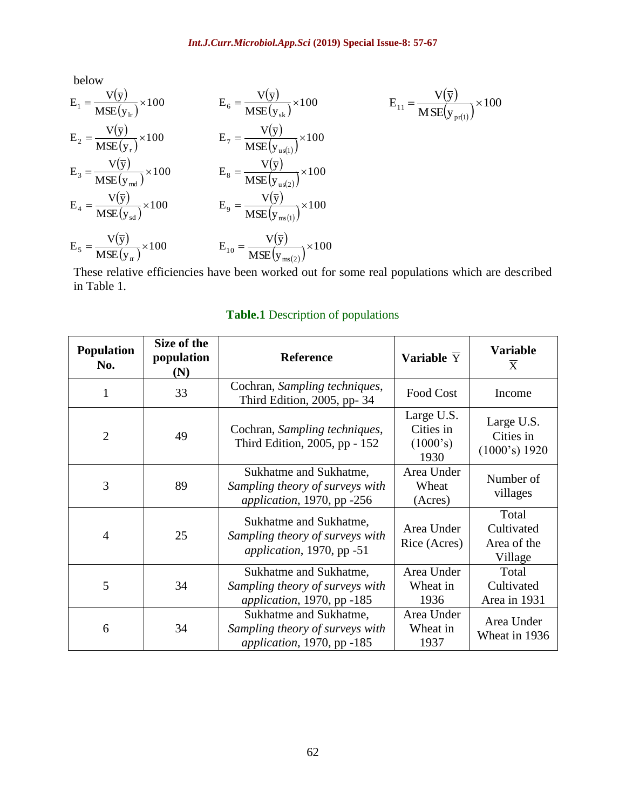below

$$
E_1 = \frac{V(\bar{y})}{MSE(y_H)} \times 100
$$
  
\n
$$
E_2 = \frac{V(\bar{y})}{MSE(y_H)} \times 100
$$
  
\n
$$
E_3 = \frac{V(\bar{y})}{MSE(y_H)} \times 100
$$
  
\n
$$
E_4 = \frac{V(\bar{y})}{MSE(y_{md})} \times 100
$$
  
\n
$$
E_5 = \frac{V(\bar{y})}{MSE(y_{md})} \times 100
$$
  
\n
$$
E_6 = \frac{V(\bar{y})}{MSE(y_{us(1)})} \times 100
$$
  
\n
$$
E_7 = \frac{V(\bar{y})}{MSE(y_{us(2)})} \times 100
$$
  
\n
$$
E_8 = \frac{V(\bar{y})}{MSE(y_{us(2)})} \times 100
$$
  
\n
$$
E_9 = \frac{V(\bar{y})}{MSE(y_{ms(1)})} \times 100
$$
  
\n
$$
E_{10} = \frac{V(\bar{y})}{MSE(y_{ms(2)})} \times 100
$$
  
\n
$$
E_{10} = \frac{V(\bar{y})}{MSE(y_{ms(2)})} \times 100
$$

These relative efficiencies have been worked out for some real populations which are described in Table 1.

| <b>Population</b><br>No. | Size of the<br>population<br>(N) | <b>Reference</b>                                                                                        | Variable $\overline{Y}$                     | <b>Variable</b><br>$\overline{X}$             |  |
|--------------------------|----------------------------------|---------------------------------------------------------------------------------------------------------|---------------------------------------------|-----------------------------------------------|--|
| 1                        | 33                               | Cochran, Sampling techniques,<br>Third Edition, 2005, pp-34                                             | Food Cost                                   | Income                                        |  |
| $\overline{2}$           | 49                               | Cochran, Sampling techniques,<br>Third Edition, 2005, pp - 152                                          | Large U.S.<br>Cities in<br>(1000's)<br>1930 | Large U.S.<br>Cities in<br>(1000's) 1920      |  |
| 3                        | 89                               | Area Under<br>Sukhatme and Sukhatme,<br>Sampling theory of surveys with<br>application, 1970, pp $-256$ |                                             | Number of<br>villages                         |  |
| 4                        | 25                               | Sukhatme and Sukhatme,<br>Sampling theory of surveys with<br><i>application</i> , 1970, pp $-51$        | Area Under<br>Rice (Acres)                  | Total<br>Cultivated<br>Area of the<br>Village |  |
| 5                        | 34                               | Sukhatme and Sukhatme,<br>Sampling theory of surveys with<br>application, 1970, pp -185                 | Area Under<br>Wheat in<br>1936              | Total<br>Cultivated<br>Area in 1931           |  |
| 6                        | 34                               | Sukhatme and Sukhatme,<br>Sampling theory of surveys with<br>application, 1970, pp -185                 | Area Under<br>Wheat in<br>1937              | Area Under<br>Wheat in 1936                   |  |

# **Table.1** Description of populations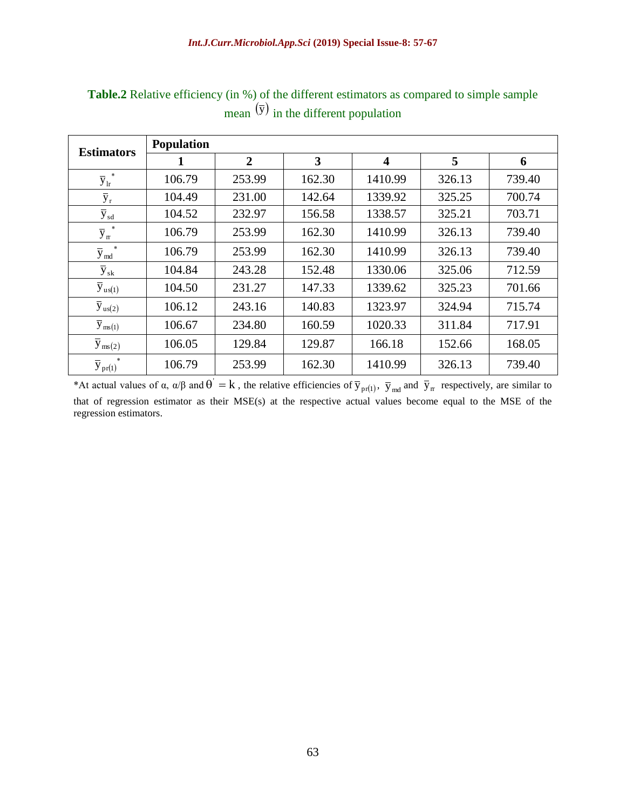| <b>Estimators</b>                 | <b>Population</b> |                |        |                         |        |        |
|-----------------------------------|-------------------|----------------|--------|-------------------------|--------|--------|
|                                   |                   | $\overline{2}$ | 3      | $\overline{\mathbf{4}}$ | 5      | 6      |
| $\overline{y}_{lr}^*$             | 106.79            | 253.99         | 162.30 | 1410.99                 | 326.13 | 739.40 |
| $\overline{y}_r$                  | 104.49            | 231.00         | 142.64 | 1339.92                 | 325.25 | 700.74 |
| $\overline{y}_{sd}$               | 104.52            | 232.97         | 156.58 | 1338.57                 | 325.21 | 703.71 |
| $\overline{y}_{\rm rr}^{\quad *}$ | 106.79            | 253.99         | 162.30 | 1410.99                 | 326.13 | 739.40 |
| $\ast$<br>$\overline{y}_{md}$     | 106.79            | 253.99         | 162.30 | 1410.99                 | 326.13 | 739.40 |
| $\overline{y}_{sk}$               | 104.84            | 243.28         | 152.48 | 1330.06                 | 325.06 | 712.59 |
| $\bar{y}_{us(1)}$                 | 104.50            | 231.27         | 147.33 | 1339.62                 | 325.23 | 701.66 |
| $\overline{y}_{us(2)}$            | 106.12            | 243.16         | 140.83 | 1323.97                 | 324.94 | 715.74 |
| $\overline{y}_{ms(1)}$            | 106.67            | 234.80         | 160.59 | 1020.33                 | 311.84 | 717.91 |
| $\overline{y}_{\text{ms}(2)}$     | 106.05            | 129.84         | 129.87 | 166.18                  | 152.66 | 168.05 |
| $\overline{y}_{pr(1)}$            | 106.79            | 253.99         | 162.30 | 1410.99                 | 326.13 | 739.40 |

Table.2 Relative efficiency (in %) of the different estimators as compared to simple sample mean  $(\bar{y})$  in the different population

\*At actual values of  $\alpha$ ,  $\alpha/\beta$  and  $\dot{\theta} = k$ , the relative efficiencies of  $\overline{y}_{pr(1)}$ ,  $\overline{y}_{md}$  and  $\overline{y}_{rr}$  respectively, are similar to that of regression estimator as their MSE(s) at the respective actual values become equal to the MSE of the regression estimators.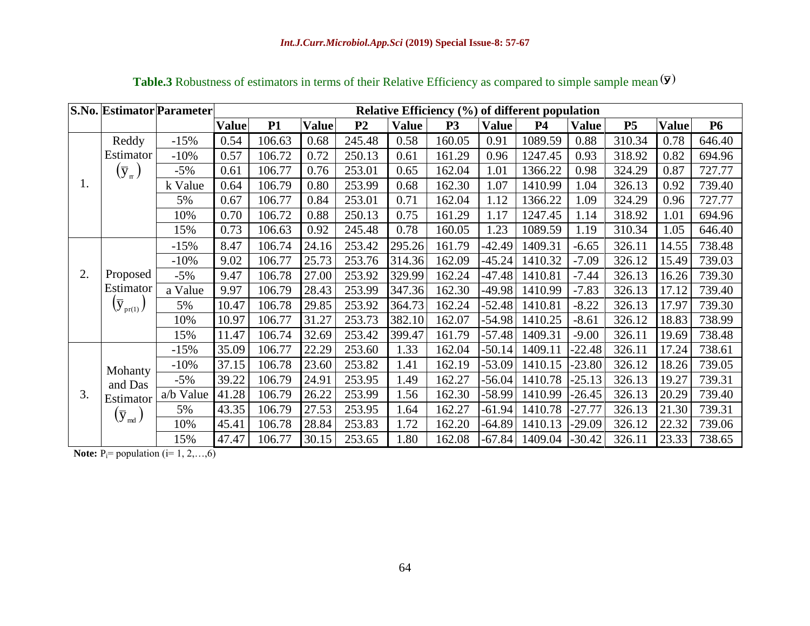|               |                                       | <b>S.No. Estimator Parameter</b> | Relative Efficiency (%) of different population |           |              |                |              |                |              |           |              |                |              |           |
|---------------|---------------------------------------|----------------------------------|-------------------------------------------------|-----------|--------------|----------------|--------------|----------------|--------------|-----------|--------------|----------------|--------------|-----------|
|               |                                       |                                  | <b>Value</b>                                    | <b>P1</b> | <b>Value</b> | P <sub>2</sub> | <b>Value</b> | P <sub>3</sub> | <b>Value</b> | <b>P4</b> | <b>Value</b> | P <sub>5</sub> | <b>Value</b> | <b>P6</b> |
|               | Reddy                                 | $-15%$                           | 0.54                                            | 106.63    | 0.68         | 245.48         | 0.58         | 160.05         | 0.91         | 1089.59   | 0.88         | 310.34         | 0.78         | 646.40    |
|               | Estimator                             | $-10%$                           | 0.57                                            | 106.72    | 0.72         | 250.13         | 0.61         | 161.29         | 0.96         | 1247.45   | 0.93         | 318.92         | 0.82         | 694.96    |
|               | $(\bar{y}_{\pi})$                     | $-5%$                            | 0.61                                            | 106.77    | 0.76         | 253.01         | 0.65         | 162.04         | 1.01         | 1366.22   | 0.98         | 324.29         | 0.87         | 727.77    |
| 1.            |                                       | k Value                          | 0.64                                            | 106.79    | 0.80         | 253.99         | 0.68         | 162.30         | 1.07         | 1410.99   | 1.04         | 326.13         | 0.92         | 739.40    |
|               |                                       | 5%                               | 0.67                                            | 106.77    | 0.84         | 253.01         | 0.71         | 162.04         | 1.12         | 1366.22   | 1.09         | 324.29         | 0.96         | 727.77    |
|               |                                       | 10%                              | 0.70                                            | 106.72    | 0.88         | 250.13         | 0.75         | 161.29         | 1.17         | 1247.45   | 1.14         | 318.92         | 1.01         | 694.96    |
|               |                                       | 15%                              | 0.73                                            | 106.63    | 0.92         | 245.48         | 0.78         | 160.05         | 1.23         | 1089.59   | 1.19         | 310.34         | 1.05         | 646.40    |
|               |                                       | $-15%$                           | 8.47                                            | 106.74    | 24.16        | 253.42         | 295.26       | 161.79         | $-42.49$     | 1409.31   | $-6.65$      | 326.11         | 14.55        | 738.48    |
|               |                                       | $-10%$                           | 9.02                                            | 106.77    | 25.73        | 253.76         | 314.36       | 162.09         | $-45.24$     | 1410.32   | $-7.09$      | 326.12         | 15.49        | 739.03    |
| 2.            | Proposed                              | $-5%$                            | 9.47                                            | 106.78    | 27.00        | 253.92         | 329.99       | 162.24         | $-47.48$     | 1410.81   | $-7.44$      | 326.13         | 16.26        | 739.30    |
|               | Estimator<br>$(\overline{y}_{pr(1)})$ | a Value                          | 9.97                                            | 106.79    | 28.43        | 253.99         | 347.36       | 162.30         | -49.98       | 1410.99   | $-7.83$      | 326.13         | 17.12        | 739.40    |
|               |                                       | 5%                               | 10.47                                           | 106.78    | 29.85        | 253.92         | 364.73       | 162.24         | $-52.48$     | 1410.81   | $-8.22$      | 326.13         | 17.97        | 739.30    |
|               |                                       | 10%                              | 10.97                                           | 106.77    | 31.27        | 253.73         | 382.10       | 162.07         | $-54.98$     | 1410.25   | $-8.61$      | 326.12         | 18.83        | 738.99    |
|               |                                       | 15%                              | 11.47                                           | 106.74    | 32.69        | 253.42         | 399.47       | 161.79         | $-57.48$     | 1409.31   | $-9.00$      | 326.11         | 19.69        | 738.48    |
| Mohanty<br>3. |                                       | $-15%$                           | 35.09                                           | 106.77    | 22.29        | 253.60         | 1.33         | 162.04         | $-50.14$     | 1409.11   | $-22.48$     | 326.11         | 17.24        | 738.61    |
|               |                                       | $-10%$                           | 37.15                                           | 106.78    | 23.60        | 253.82         | 1.41         | 162.19         | $-53.09$     | 1410.15   | $-23.80$     | 326.12         | 18.26        | 739.05    |
|               | and Das                               | $-5%$                            | 39.22                                           | 106.79    | 24.91        | 253.95         | 1.49         | 162.27         | $-56.04$     | 1410.78   | $-25.13$     | 326.13         | 19.27        | 739.31    |
|               | Estimator                             | a/b Value                        | 41.28                                           | 106.79    | 26.22        | 253.99         | 1.56         | 162.30         | $-58.99$     | 1410.99   | $-26.45$     | 326.13         | 20.29        | 739.40    |
|               | $(\overline{y}_{md})$                 | 5%                               | 43.35                                           | 106.79    | 27.53        | 253.95         | 1.64         | 162.27         | $-61.94$     | 1410.78   | $-27.77$     | 326.13         | 21.30        | 739.31    |
|               |                                       | 10%                              | 45.41                                           | 106.78    | 28.84        | 253.83         | 1.72         | 162.20         | -64.89       | 1410.13   | $-29.09$     | 326.12         | 22.32        | 739.06    |
|               |                                       | 15%                              | 47.47                                           | 106.77    | 30.15        | 253.65         | 1.80         | 162.08         | $-67.84$     | 1409.04   | $-30.42$     | 326.11         | 23.33        | 738.65    |

**Table.3** Robustness of estimators in terms of their Relative Efficiency as compared to simple sample mean  $(\bar{y})$ 

**Note:**  $P_i$ = population ( $i$ = 1, 2,...,6)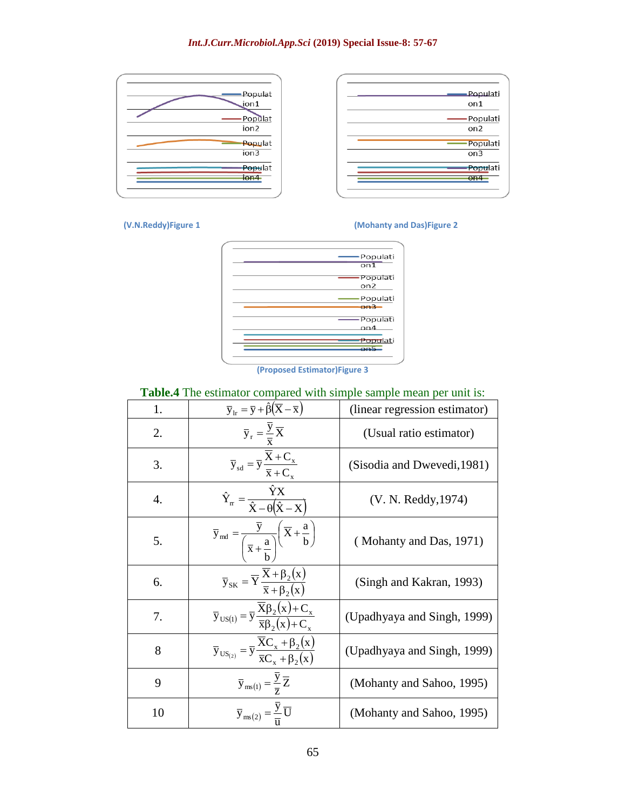#### *Int.J.Curr.Microbiol.App.Sci* **(2019) Special Issue-8: 57-67**

| -Populat<br>jon1             | -Populati<br>on1            |
|------------------------------|-----------------------------|
| -Populat<br>ion <sub>2</sub> | Populati<br>on <sub>2</sub> |
| Populat<br>ion3              | -Populati<br>on3            |
| Populat<br>Ton4              | - Populati<br>$-$ on4       |
|                              |                             |

#### **(V.N.Reddy)Figure 1 (Mohanty and Das)Figure 2**



**(Proposed Estimator)Figure 3**

## **Table.4** The estimator compared with simple sample mean per unit is:

| 1.               | $\overline{y}_{1r} = \overline{y} + \hat{\beta}(\overline{X} - \overline{x})$                                                                                       | (linear regression estimator) |
|------------------|---------------------------------------------------------------------------------------------------------------------------------------------------------------------|-------------------------------|
| 2.               | $\overline{y}_r = \frac{\overline{y}}{\overline{x}} \overline{X}$                                                                                                   | (Usual ratio estimator)       |
| 3.               | $\overline{\mathbf{y}}_{\text{sd}} = \overline{\mathbf{y}} \frac{\overline{\mathbf{X}} + \mathbf{C}_{\mathbf{x}}}{\overline{\mathbf{x}} + \mathbf{C}_{\mathbf{x}}}$ | (Sisodia and Dwevedi, 1981)   |
| $\overline{4}$ . | $\hat{Y}_{rr} = \frac{YX}{\hat{X} - \theta(\hat{X} - X)}$                                                                                                           | (V. N. Reddy, 1974)           |
| 5.               | $\overline{y}_{\text{md}} = \frac{y}{\left(\overline{x} + \frac{a}{b}\right)} \left(\overline{X} + \frac{a}{b}\right)$                                              | (Mohanty and Das, 1971)       |
| 6.               | $\overline{y}_{SK} = \overline{Y} \frac{X + \beta_2(x)}{\overline{x} + \beta_2(x)}$                                                                                 | (Singh and Kakran, 1993)      |
| 7.               | $\overline{y}_{US(1)} = \overline{y} \frac{X\beta_2(x) + C_x}{\overline{x}\beta_2(x) + C}$                                                                          | (Upadhyaya and Singh, 1999)   |
| 8                | $\overline{y}_{US_{(2)}} = \overline{y} \frac{\overline{X}C_x + \beta_2(x)}{\overline{x}C_+ + \beta_-(x)}$                                                          | (Upadhyaya and Singh, 1999)   |
| 9                | $\overline{y}_{\text{ms}(1)} = \frac{y}{\overline{z}} \overline{Z}$                                                                                                 | (Mohanty and Sahoo, 1995)     |
| 10               | $\overline{y}_{\text{ms}(2)} = \frac{\overline{y}}{\overline{y}} \overline{U}$                                                                                      | (Mohanty and Sahoo, 1995)     |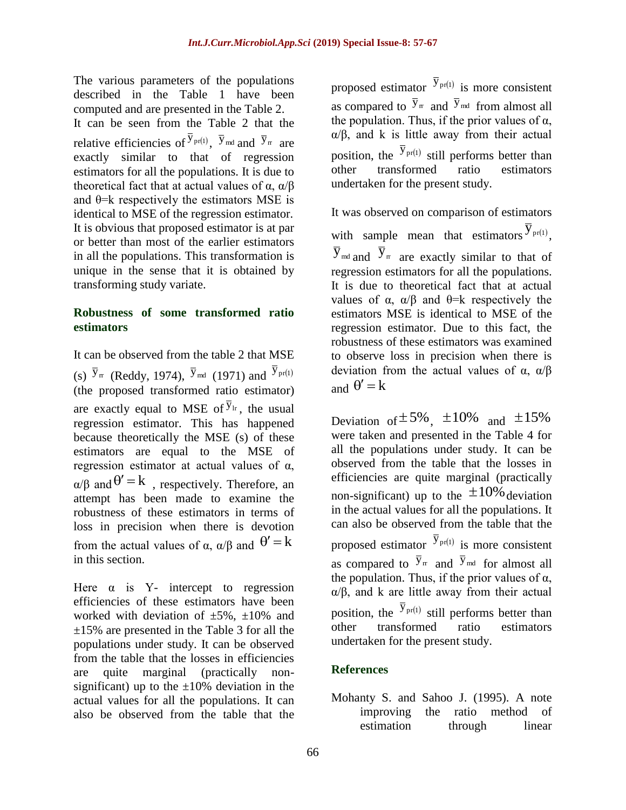The various parameters of the populations described in the Table 1 have been computed and are presented in the Table 2.

It can be seen from the Table 2 that the relative efficiencies of  $\bar{y}_{pr(1)}$ ,  $\bar{y}_{md}$  and  $\bar{y}_{rr}$  are exactly similar to that of regression estimators for all the populations. It is due to theoretical fact that at actual values of  $\alpha$ ,  $\alpha/\beta$ and  $\theta$ =k respectively the estimators MSE is identical to MSE of the regression estimator. It is obvious that proposed estimator is at par or better than most of the earlier estimators in all the populations. This transformation is unique in the sense that it is obtained by transforming study variate.

## **Robustness of some transformed ratio estimators**

It can be observed from the table 2 that MSE (s)  $\overline{y}_{rr}$  (Reddy, 1974),  $\overline{y}_{mt}$  (1971) and  $\overline{y}_{pr(1)}$ (the proposed transformed ratio estimator) are exactly equal to MSE of  $\overline{y}_{1r}$ , the usual regression estimator. This has happened because theoretically the MSE (s) of these estimators are equal to the MSE of regression estimator at actual values of α,  $\alpha/\beta$  and  $\theta' = k$ , respectively. Therefore, an attempt has been made to examine the robustness of these estimators in terms of loss in precision when there is devotion from the actual values of  $\alpha$ ,  $\alpha/\beta$  and  $\theta' = k$ in this section.

Here  $\alpha$  is Y- intercept to regression efficiencies of these estimators have been worked with deviation of  $\pm 5\%$ ,  $\pm 10\%$  and  $\pm 15\%$  are presented in the Table 3 for all the populations under study. It can be observed from the table that the losses in efficiencies are quite marginal (practically nonsignificant) up to the  $\pm 10\%$  deviation in the actual values for all the populations. It can also be observed from the table that the

proposed estimator  $\overline{y}_{pr(1)}$  is more consistent as compared to  $\bar{y}_{m}$  and  $\bar{y}_{m}$  from almost all the population. Thus, if the prior values of  $\alpha$ ,  $\alpha/\beta$ , and k is little away from their actual position, the  $\bar{y}_{pr(1)}$  still performs better than other transformed ratio estimators undertaken for the present study.

It was observed on comparison of estimators with sample mean that estimators  $\overline{y}_{pr(1)}$ ,  $\overline{y}_{\text{md}}$  and  $\overline{y}_{\text{cm}}$  are exactly similar to that of regression estimators for all the populations. It is due to theoretical fact that at actual values of  $\alpha$ ,  $\alpha/\beta$  and  $\theta = k$  respectively the estimators MSE is identical to MSE of the regression estimator. Due to this fact, the robustness of these estimators was examined to observe loss in precision when there is deviation from the actual values of  $\alpha$ ,  $\alpha/\beta$ and  $\theta' = k$ 

Deviation of  $\pm 5\%$ ,  $\pm 10\%$  and  $\pm 15\%$ were taken and presented in the Table 4 for all the populations under study. It can be observed from the table that the losses in efficiencies are quite marginal (practically non-significant) up to the  $\pm 10\%$  deviation in the actual values for all the populations. It can also be observed from the table that the proposed estimator  $\overline{y}_{pr(1)}$  is more consistent as compared to  $\bar{y}_m$  and  $\bar{y}_{md}$  for almost all the population. Thus, if the prior values of  $\alpha$ , α/β, and k are little away from their actual position, the  $\bar{y}_{pr(1)}$  still performs better than other transformed ratio estimators undertaken for the present study.

## **References**

Mohanty S. and Sahoo J. (1995). A note improving the ratio method of estimation through linear